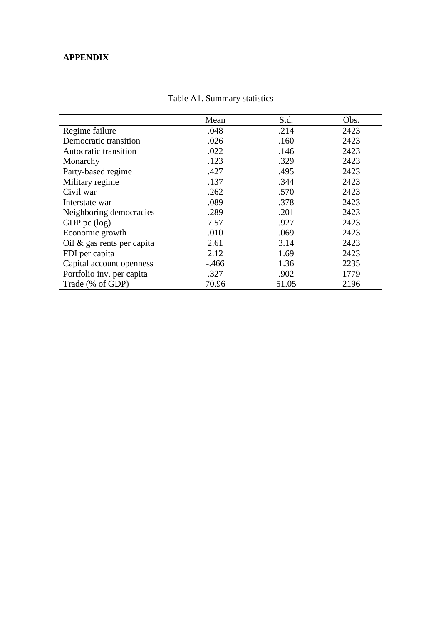## **APPENDIX**

|                               | Mean     | S.d.  | Obs. |
|-------------------------------|----------|-------|------|
| Regime failure                | .048     | .214  | 2423 |
| Democratic transition         | .026     | .160  | 2423 |
| Autocratic transition         | .022     | .146  | 2423 |
| Monarchy                      | .123     | .329  | 2423 |
| Party-based regime            | .427     | .495  | 2423 |
| Military regime               | .137     | .344  | 2423 |
| Civil war                     | .262     | .570  | 2423 |
| Interstate war                | .089     | .378  | 2423 |
| Neighboring democracies       | .289     | .201  | 2423 |
| GDP pc $(log)$                | 7.57     | .927  | 2423 |
| Economic growth               | .010     | .069  | 2423 |
| Oil $\&$ gas rents per capita | 2.61     | 3.14  | 2423 |
| FDI per capita                | 2.12     | 1.69  | 2423 |
| Capital account openness      | $-0.466$ | 1.36  | 2235 |
| Portfolio inv. per capita     | .327     | .902  | 1779 |
| Trade (% of GDP)              | 70.96    | 51.05 | 2196 |

|  | Table A1. Summary statistics |  |
|--|------------------------------|--|
|--|------------------------------|--|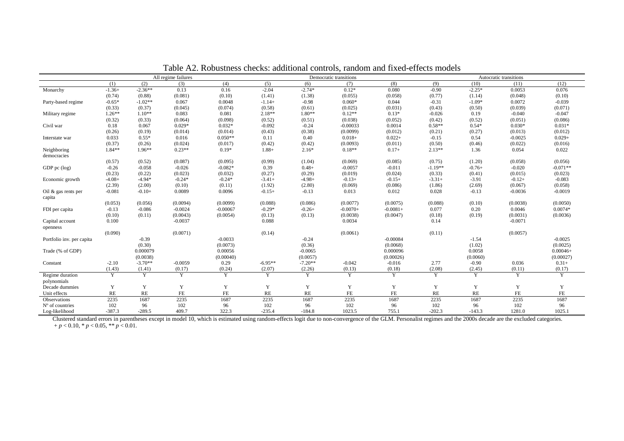|                           | All regime failures<br>Democratic transitions |           |           |            | Autocratic transitions |           |            |            |           |          |           |            |
|---------------------------|-----------------------------------------------|-----------|-----------|------------|------------------------|-----------|------------|------------|-----------|----------|-----------|------------|
|                           | (1)                                           | (2)       | (3)       | (4)        | (5)                    | (6)       | (7)        | (8)        | (9)       | (10)     | (11)      | (12)       |
| Monarchy                  | $-1.36+$                                      | $-2.36**$ | 0.13      | 0.16       | $-2.04$                | $-2.74*$  | $0.12*$    | 0.080      | $-0.90$   | $-2.25*$ | 0.0053    | 0.076      |
|                           | (0.74)                                        | (0.88)    | (0.081)   | (0.10)     | (1.41)                 | (1.38)    | (0.055)    | (0.058)    | (0.77)    | (1.14)   | (0.048)   | (0.10)     |
| Party-based regime        | $-0.65*$                                      | $-1.02**$ | 0.067     | 0.0048     | $-1.14+$               | $-0.98$   | $0.060*$   | 0.044      | $-0.31$   | $-1.09*$ | 0.0072    | $-0.039$   |
|                           | (0.33)                                        | (0.37)    | (0.045)   | (0.074)    | (0.58)                 | (0.61)    | (0.025)    | (0.031)    | (0.43)    | (0.50)   | (0.039)   | (0.071)    |
| Military regime           | $1.26**$                                      | $1.10**$  | 0.083     | 0.081      | $2.18**$               | $1.80**$  | $0.12**$   | $0.13*$    | $-0.026$  | 0.19     | $-0.040$  | $-0.047$   |
|                           | (0.32)                                        | (0.33)    | (0.064)   | (0.098)    | (0.52)                 | (0.51)    | (0.038)    | (0.052)    | (0.42)    | (0.52)   | (0.051)   | (0.086)    |
| Civil war                 | 0.18                                          | 0.067     | $0.029*$  | $0.032*$   | $-0.092$               | $-0.24$   | $-0.00033$ | 0.0014     | $0.58**$  | $0.54*$  | $0.030*$  | $0.031*$   |
|                           | (0.26)                                        | (0.19)    | (0.014)   | (0.014)    | (0.43)                 | (0.38)    | (0.0099)   | (0.012)    | (0.21)    | (0.27)   | (0.013)   | (0.012)    |
| Interstate war            | 0.033                                         | $0.55*$   | 0.016     | $0.050**$  | 0.11                   | 0.40      | $0.018+$   | $0.022+$   | $-0.15$   | 0.54     | $-0.0025$ | $0.029+$   |
|                           | (0.37)                                        | (0.26)    | (0.024)   | (0.017)    | (0.42)                 | (0.42)    | (0.0093)   | (0.011)    | (0.50)    | (0.46)   | (0.022)   | (0.016)    |
| Neighboring               | $1.84**$                                      | $1.96**$  | $0.23**$  | $0.19*$    | $1.88+$                | $2.16*$   | $0.18**$   | $0.17+$    | $2.13**$  | 1.36     | 0.054     | 0.022      |
| democracies               |                                               |           |           |            |                        |           |            |            |           |          |           |            |
|                           | (0.57)                                        | (0.52)    | (0.087)   | (0.095)    | (0.99)                 | (1.04)    | (0.069)    | (0.085)    | (0.75)    | (1.20)   | (0.058)   | (0.056)    |
| GDP pc (log)              | $-0.26$                                       | $-0.058$  | $-0.026$  | $-0.082*$  | 0.39                   | $0.48+$   | $-0.0057$  | $-0.011$   | $-1.19**$ | $-0.76+$ | $-0.020$  | $-0.071**$ |
|                           | (0.23)                                        | (0.22)    | (0.023)   | (0.032)    | (0.27)                 | (0.29)    | (0.019)    | (0.024)    | (0.33)    | (0.41)   | (0.015)   | (0.023)    |
| Economic growth           | $-4.08+$                                      | $-4.94*$  | $-0.24*$  | $-0.24*$   | $-3.41+$               | $-4.98+$  | $-0.13+$   | $-0.15+$   | $-3.31+$  | $-3.91$  | $-0.12+$  | $-0.083$   |
|                           | (2.39)                                        | (2.00)    | (0.10)    | (0.11)     | (1.92)                 | (2.80)    | (0.069)    | (0.086)    | (1.86)    | (2.69)   | (0.067)   | (0.058)    |
| Oil & gas rents per       | $-0.081$                                      | $-0.10+$  | 0.0089    | 0.0096     | $-0.15+$               | $-0.13$   | 0.013      | 0.012      | 0.028     | $-0.13$  | $-0.0036$ | $-0.0019$  |
| capita                    |                                               |           |           |            |                        |           |            |            |           |          |           |            |
|                           | (0.053)                                       | (0.056)   | (0.0094)  | (0.0099)   | (0.088)                | (0.086)   | (0.0077)   | (0.0075)   | (0.088)   | (0.10)   | (0.0038)  | (0.0050)   |
| FDI per capita            | $-0.13$                                       | $-0.086$  | $-0.0024$ | $-0.00067$ | $-0.29*$               | $-0.26+$  | $-0.0070+$ | $-0.0081+$ | 0.077     | 0.20     | 0.0046    | $0.0074*$  |
|                           | (0.10)                                        | (0.11)    | (0.0043)  | (0.0054)   | (0.13)                 | (0.13)    | (0.0038)   | (0.0047)   | (0.18)    | (0.19)   | (0.0031)  | (0.0036)   |
| Capital account           | 0.100                                         |           | $-0.0037$ |            | 0.088                  |           | 0.0034     |            | 0.14      |          | $-0.0071$ |            |
| openness                  |                                               |           |           |            |                        |           |            |            |           |          |           |            |
|                           | (0.090)                                       |           | (0.0071)  |            | (0.14)                 |           | (0.0061)   |            | (0.11)    |          | (0.0057)  |            |
| Portfolio inv. per capita |                                               | $-0.39$   |           | $-0.0033$  |                        | $-0.24$   |            | $-0.00084$ |           | $-1.54$  |           | $-0.0025$  |
|                           |                                               | (0.30)    |           | (0.0073)   |                        | (0.36)    |            | (0.0068)   |           | (1.02)   |           | (0.0025)   |
| Trade (% of GDP)          |                                               | 0.000079  |           | 0.00056    |                        | $-0.0065$ |            | 0.000096   |           | 0.0058   |           | $0.00046+$ |
|                           |                                               | (0.0038)  |           | (0.00040)  |                        | (0.0057)  |            | (0.00026)  |           | (0.0060) |           | (0.00027)  |
| Constant                  | $-2.10$                                       | $-3.70**$ | $-0.0059$ | 0.29       | $-6.95**$              | $-7.20**$ | $-0.042$   | $-0.016$   | 2.77      | $-0.90$  | 0.036     | $0.31+$    |
|                           | (1.43)                                        | (1.41)    | (0.17)    | (0.24)     | (2.07)                 | (2.26)    | (0.13)     | (0.18)     | (2.08)    | (2.45)   | (0.11)    | (0.17)     |
| Regime duration           | Y                                             | Y         | Y         | Y          | Y                      | Y         | Y          | Y          | Y         | Y        | Y         | Y          |
| polynomials               |                                               |           |           |            |                        |           |            |            |           |          |           |            |
| Decade dummies            | Y                                             | Y         | Y         | Y          | Y                      | Y         | Y          | Y          | Y         | Y        | Y         | Y          |
| Unit effects              | <b>RE</b>                                     | RE        | $\rm FE$  | FE         | RE                     | RE        | ${\rm FE}$ | FE         | RE        | RE       | FE        | FE         |
| Observations              | 2235                                          | 1687      | 2235      | 1687       | 2235                   | 1687      | 2235       | 1687       | 2235      | 1687     | 2235      | 1687       |
| N° of countries           | 102                                           | 96        | 102       | 96         | 102                    | 96        | 102        | 96         | 102       | 96       | 102       | 96         |
| Log-likelihood            | $-387.3$                                      | $-289.5$  | 409.7     | 322.3      | $-235.4$               | $-184.8$  | 1023.5     | 755.1      | $-202.3$  | $-143.3$ | 1281.0    | 1025.1     |

Table A2. Robustness checks: additional controls, random and fixed-effects models

Clustered standard errors in parentheses except in model 10, which is estimated using random-effects logit due to non-convergence of the GLM. Personalist regimes and the 2000s decade are the excluded categories.  $+p < 0.10, \pm p < 0.05, \pm \pm p < 0.01.$